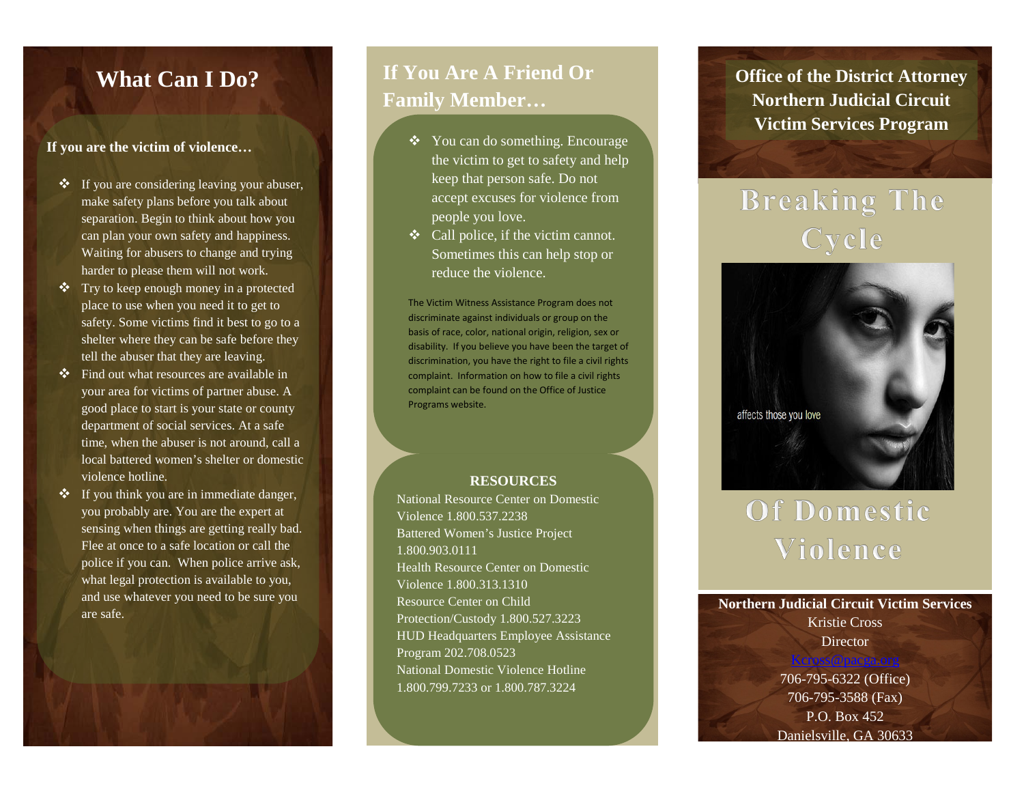## **What Can I Do?**

#### **If you are the victim of violence…**

- $\bullet$  If you are considering leaving your abuser, make safety plans before you talk about separation. Begin to think about how you can plan your own safety and happiness. Waiting for abusers to change and trying harder to please them will not work.
- Try to keep enough money in a protected place to use when you need it to get to safety. Some victims find it best to go to a shelter where they can be safe before they tell the abuser that they are leaving.
- Find out what resources are available in your area for victims of partner abuse. A good place to start is your state or county department of social services. At a safe time, when the abuser is not around, call a local battered women's shelter or domestic violence hotline.
- $\bullet$  If you think you are in immediate danger, you probably are. You are the expert at sensing when things are getting really bad. Flee at once to a safe location or call the police if you can. When police arrive ask, what legal protection is available to you, and use whatever you need to be sure you are safe.

## **If You Are A Friend Or Family Member…**

- You can do something. Encourage the victim to get to safety and help keep that person safe. Do not accept excuses for violence from people you love.
- $\triangleleft$  Call police, if the victim cannot. Sometimes this can help stop or reduce the violence.

The Victim Witness Assistance Program does not discriminate against individuals or group on the basis of race, color, national origin, religion, sex or disability. If you believe you have been the target of discrimination, you have the right to file a civil rights complaint. Information on how to file a civil rights complaint can be found on the Office of Justice Programs website.

#### **RESOURCES**

National Resource Center on Domestic Violence 1.800.537.2238 Battered Women's Justice Project 1.800.903.0111 Health Resource Center on Domestic Violence 1.800.313.1310 Resource Center on Child Protection/Custody 1.800.527.3223 HUD Headquarters Employee Assistance Program 202.708.0523 National Domestic Violence Hotline 1.800.799.7233 or 1.800.787.3224

**Office of the District Attorney Northern Judicial Circuit Victim Services Program**

## **Breaking The** Cycle



# Of Domestic Violence

#### **Northern Judicial Circuit Victim Services** Kristie Cross **Director**

[Kcross@pacga.org](mailto:Kcross@pacga.org)

706-795-6322 (Office) 706-795-3588 (Fax) P.O. Box 452 Danielsville, GA 30633